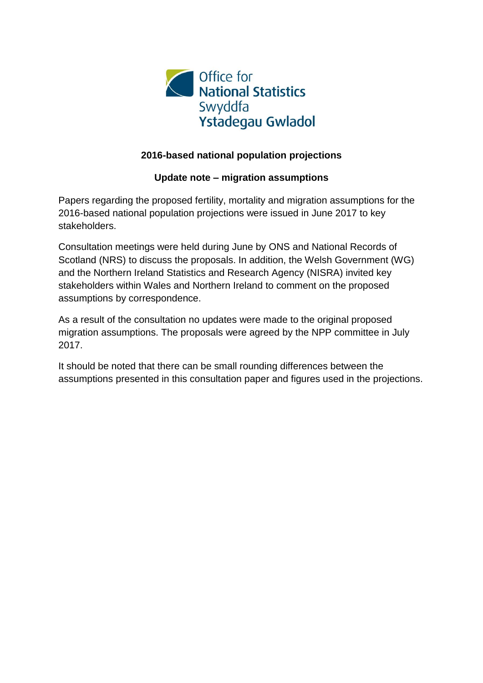

#### **2016-based national population projections**

#### **Update note – migration assumptions**

Papers regarding the proposed fertility, mortality and migration assumptions for the 2016-based national population projections were issued in June 2017 to key stakeholders.

Consultation meetings were held during June by ONS and National Records of Scotland (NRS) to discuss the proposals. In addition, the Welsh Government (WG) and the Northern Ireland Statistics and Research Agency (NISRA) invited key stakeholders within Wales and Northern Ireland to comment on the proposed assumptions by correspondence.

As a result of the consultation no updates were made to the original proposed migration assumptions. The proposals were agreed by the NPP committee in July 2017.

It should be noted that there can be small rounding differences between the assumptions presented in this consultation paper and figures used in the projections.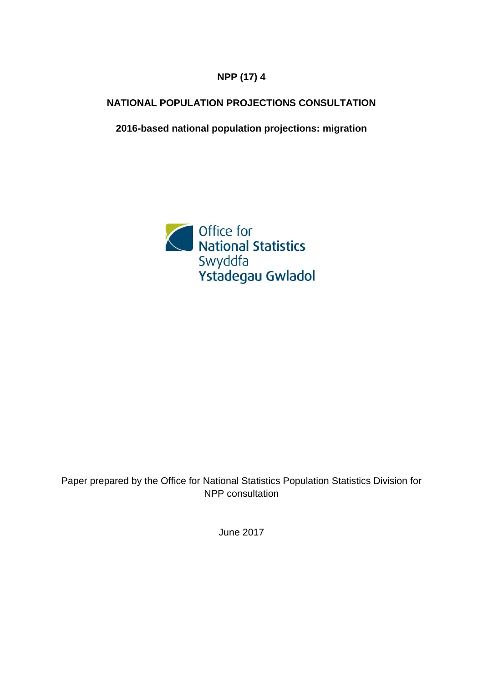### **NPP (17) 4**

### **N ATIONAL POPULATION PROJECTIONS CONSULTATION**

**2016-based national population projections: migration** 



### Paper prepared by the Office for National Statistics Population Statistics Division for NPP consultation

June 2017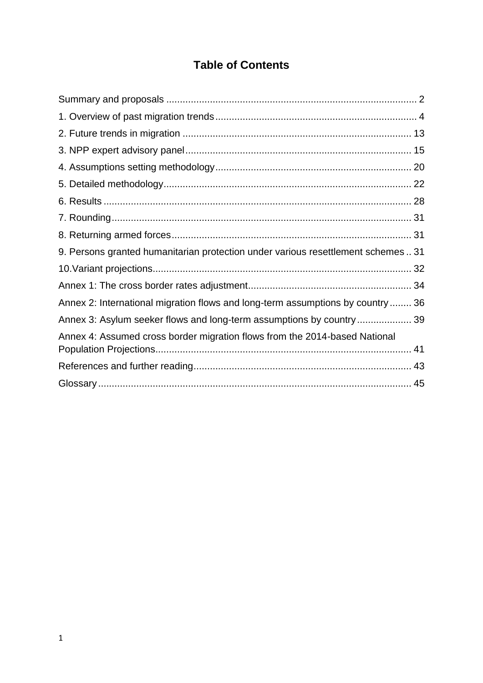# **Table of Contents**

| 9. Persons granted humanitarian protection under various resettlement schemes  31 |  |
|-----------------------------------------------------------------------------------|--|
|                                                                                   |  |
|                                                                                   |  |
| Annex 2: International migration flows and long-term assumptions by country 36    |  |
| Annex 3: Asylum seeker flows and long-term assumptions by country 39              |  |
| Annex 4: Assumed cross border migration flows from the 2014-based National        |  |
|                                                                                   |  |
|                                                                                   |  |
|                                                                                   |  |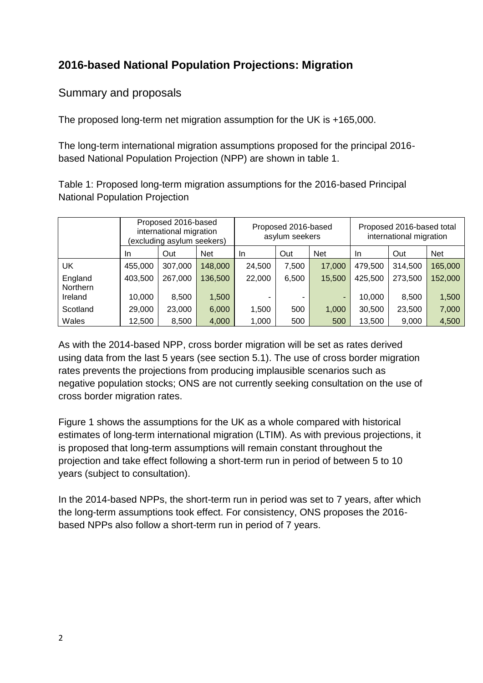# **2016-based National Population Projections: Migration**

## Summary and proposals

The proposed long-term net migration assumption for the UK is +165,000.

The long-term international migration assumptions proposed for the principal 2016 based National Population Projection (NPP) are shown in table 1.

Table 1: Proposed long-term migration assumptions for the 2016-based Principal National Population Projection

|                     |         | Proposed 2016-based<br>international migration<br>(excluding asylum seekers) |            |        | Proposed 2016-based<br>asylum seekers |            |         | Proposed 2016-based total<br>international migration |            |  |
|---------------------|---------|------------------------------------------------------------------------------|------------|--------|---------------------------------------|------------|---------|------------------------------------------------------|------------|--|
|                     | In.     | Out                                                                          | <b>Net</b> | In.    | Out                                   | <b>Net</b> | In.     | Out                                                  | <b>Net</b> |  |
| UK                  | 455,000 | 307,000                                                                      | 148,000    | 24,500 | 7,500                                 | 17,000     | 479,500 | 314,500                                              | 165,000    |  |
| England<br>Northern | 403,500 | 267,000                                                                      | 136,500    | 22,000 | 6,500                                 | 15,500     | 425,500 | 273,500                                              | 152,000    |  |
| Ireland             | 10,000  | 8,500                                                                        | 1,500      |        |                                       | ٠          | 10,000  | 8.500                                                | 1,500      |  |
| Scotland            | 29,000  | 23,000                                                                       | 6,000      | 1,500  | 500                                   | 1,000      | 30,500  | 23,500                                               | 7,000      |  |
| Wales               | 12,500  | 8,500                                                                        | 4,000      | 1,000  | 500                                   | 500        | 13,500  | 9,000                                                | 4,500      |  |

As with the 2014-based NPP, cross border migration will be set as rates derived using data from the last 5 years (see section 5.1). The use of cross border migration rates prevents the projections from producing implausible scenarios such as negative population stocks; ONS are not currently seeking consultation on the use of cross border migration rates.

Figure 1 shows the assumptions for the UK as a whole compared with historical estimates of long-term international migration (LTIM). As with previous projections, it is proposed that long-term assumptions will remain constant throughout the projection and take effect following a short-term run in period of between 5 to 10 years (subject to consultation).

In the 2014-based NPPs, the short-term run in period was set to 7 years, after which the long-term assumptions took effect. For consistency, ONS proposes the 2016 based NPPs also follow a short-term run in period of 7 years.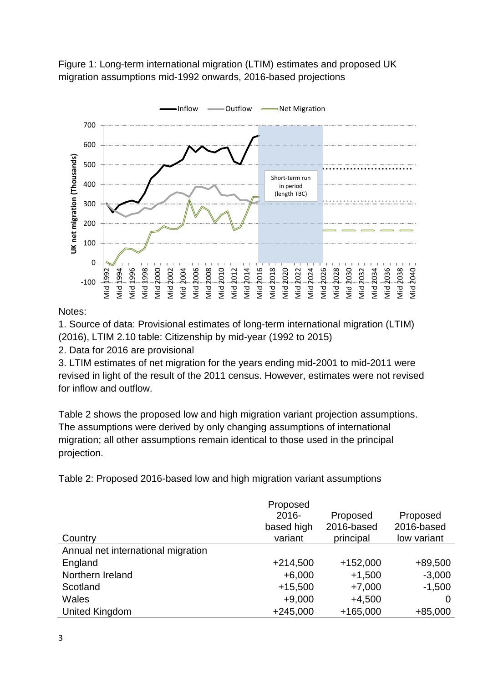Figure 1: Long-term international migration (LTIM) estimates and proposed UK migration assumptions mid-1992 onwards, 2016-based projections



#### Notes:

1. Source of data: Provisional estimates of long-term international migration (LTIM) (2016), LTIM 2.10 table: Citizenship by mid-year (1992 to 2015)

2. Data for 2016 are provisional

3. LTIM estimates of net migration for the years ending mid-2001 to mid-2011 were revised in light of the result of the 2011 census. However, estimates were not revised for inflow and outflow.

Table 2 shows the proposed low and high migration variant projection assumptions. The assumptions were derived by only changing assumptions of international migration; all other assumptions remain identical to those used in the principal projection.

Table 2: Proposed 2016-based low and high migration variant assumptions

| Country                            | Proposed<br>$2016 -$<br>based high<br>variant | Proposed<br>2016-based<br>principal | Proposed<br>2016-based<br>low variant |
|------------------------------------|-----------------------------------------------|-------------------------------------|---------------------------------------|
| Annual net international migration |                                               |                                     |                                       |
| England                            | $+214,500$                                    | $+152,000$                          | $+89,500$                             |
| Northern Ireland                   | $+6,000$                                      | $+1,500$                            | $-3,000$                              |
| Scotland                           | $+15,500$                                     | $+7,000$                            | $-1,500$                              |
| <b>Wales</b>                       | $+9,000$                                      | $+4,500$                            | 0                                     |
| United Kingdom                     | $+245,000$                                    | $+165,000$                          | $+85,000$                             |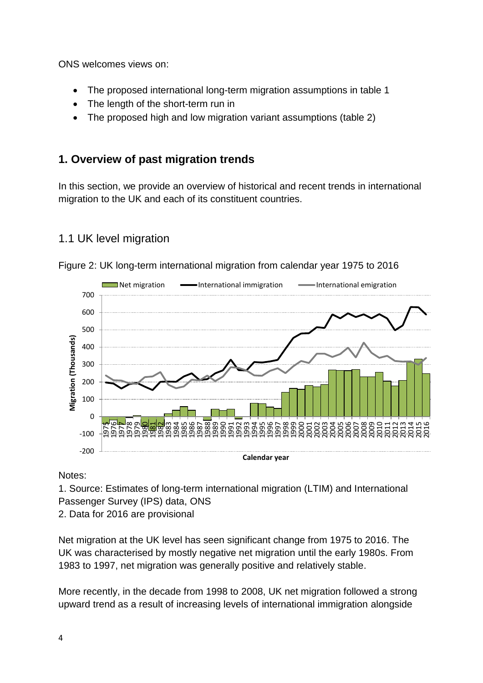ONS welcomes views on:

- The proposed international long-term migration assumptions in table 1
- The length of the short-term run in
- The proposed high and low migration variant assumptions (table 2)

## **1. Overview of past migration trends**

In this section, we provide an overview of historical and recent trends in international migration to the UK and each of its constituent countries.

## 1.1 UK level migration



Figure 2: UK long-term international migration from calendar year 1975 to 2016

Notes:

1. Source: Estimates of long-term international migration (LTIM) and International Passenger Survey (IPS) data, ONS

2. Data for 2016 are provisional

Net migration at the UK level has seen significant change from 1975 to 2016. The UK was characterised by mostly negative net migration until the early 1980s. From 1983 to 1997, net migration was generally positive and relatively stable.

More recently, in the decade from 1998 to 2008, UK net migration followed a strong upward trend as a result of increasing levels of international immigration alongside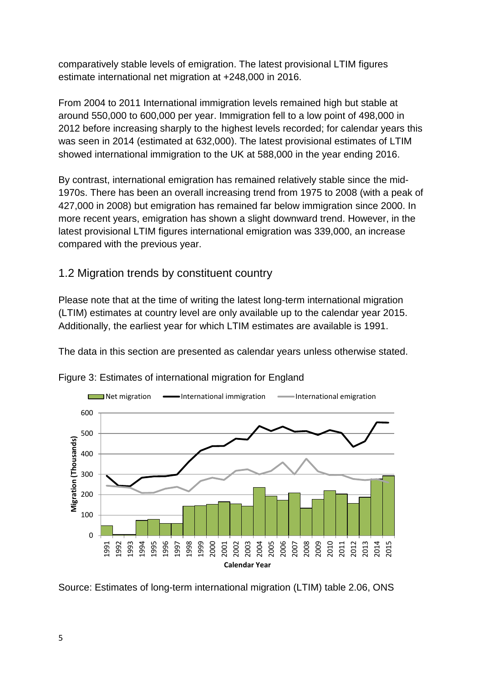comparatively stable levels of emigration. The latest provisional LTIM figures estimate international net migration at +248,000 in 2016.

From 2004 to 2011 International immigration levels remained high but stable at around 550,000 to 600,000 per year. Immigration fell to a low point of 498,000 in 2012 before increasing sharply to the highest levels recorded; for calendar years this was seen in 2014 (estimated at 632,000). The latest provisional estimates of LTIM showed international immigration to the UK at 588,000 in the year ending 2016.

By contrast, international emigration has remained relatively stable since the mid-1970s. There has been an overall increasing trend from 1975 to 2008 (with a peak of 427,000 in 2008) but emigration has remained far below immigration since 2000. In more recent years, emigration has shown a slight downward trend. However, in the latest provisional LTIM figures international emigration was 339,000, an increase compared with the previous year.

## 1.2 Migration trends by constituent country

Please note that at the time of writing the latest long-term international migration (LTIM) estimates at country level are only available up to the calendar year 2015. Additionally, the earliest year for which LTIM estimates are available is 1991.

The data in this section are presented as calendar years unless otherwise stated.



Figure 3: Estimates of international migration for England

Source: Estimates of long-term international migration (LTIM) table 2.06, ONS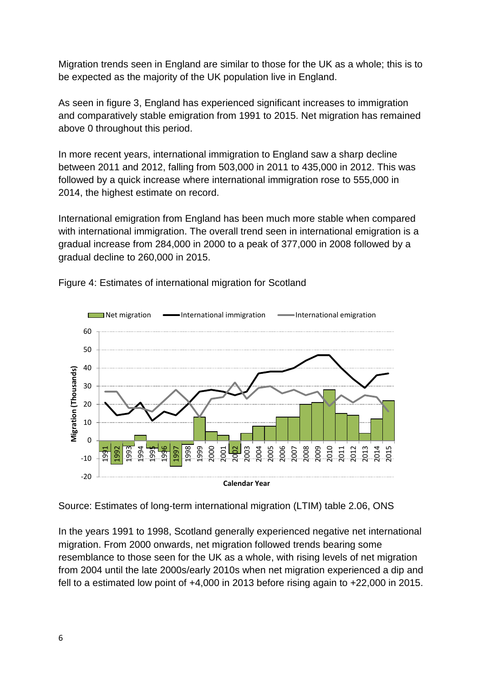Migration trends seen in England are similar to those for the UK as a whole; this is to be expected as the majority of the UK population live in England.

As seen in figure 3, England has experienced significant increases to immigration and comparatively stable emigration from 1991 to 2015. Net migration has remained above 0 throughout this period.

In more recent years, international immigration to England saw a sharp decline between 2011 and 2012, falling from 503,000 in 2011 to 435,000 in 2012. This was followed by a quick increase where international immigration rose to 555,000 in 2014, the highest estimate on record.

International emigration from England has been much more stable when compared with international immigration. The overall trend seen in international emigration is a gradual increase from 284,000 in 2000 to a peak of 377,000 in 2008 followed by a gradual decline to 260,000 in 2015.



Figure 4: Estimates of international migration for Scotland

Source: Estimates of long-term international migration (LTIM) table 2.06, ONS

In the years 1991 to 1998, Scotland generally experienced negative net international migration. From 2000 onwards, net migration followed trends bearing some resemblance to those seen for the UK as a whole, with rising levels of net migration from 2004 until the late 2000s/early 2010s when net migration experienced a dip and fell to a estimated low point of +4,000 in 2013 before rising again to +22,000 in 2015.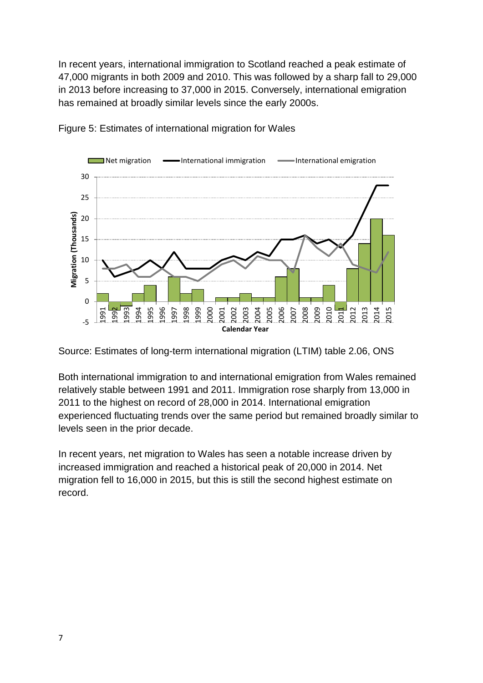In recent years, international immigration to Scotland reached a peak estimate of 47,000 migrants in both 2009 and 2010. This was followed by a sharp fall to 29,000 in 2013 before increasing to 37,000 in 2015. Conversely, international emigration has remained at broadly similar levels since the early 2000s.



Figure 5: Estimates of international migration for Wales

Source: Estimates of long-term international migration (LTIM) table 2.06, ONS

Both international immigration to and international emigration from Wales remained relatively stable between 1991 and 2011. Immigration rose sharply from 13,000 in 2011 to the highest on record of 28,000 in 2014. International emigration experienced fluctuating trends over the same period but remained broadly similar to levels seen in the prior decade.

In recent years, net migration to Wales has seen a notable increase driven by increased immigration and reached a historical peak of 20,000 in 2014. Net migration fell to 16,000 in 2015, but this is still the second highest estimate on record.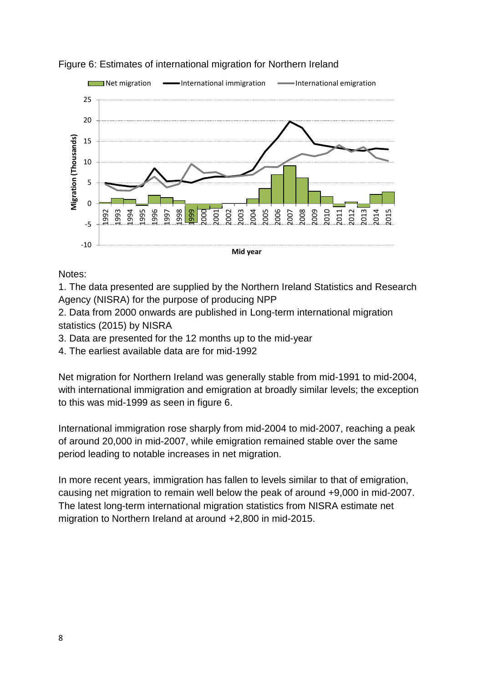

#### Figure 6: Estimates of international migration for Northern Ireland

Notes:

1. The data presented are supplied by the Northern Ireland Statistics and Research Agency (NISRA) for the purpose of producing NPP

2. Data from 2000 onwards are published in Long-term international migration statistics (2015) by NISRA

- 3. Data are presented for the 12 months up to the mid-year
- 4. The earliest available data are for mid-1992

Net migration for Northern Ireland was generally stable from mid-1991 to mid-2004, with international immigration and emigration at broadly similar levels; the exception to this was mid-1999 as seen in figure 6.

International immigration rose sharply from mid-2004 to mid-2007, reaching a peak of around 20,000 in mid-2007, while emigration remained stable over the same period leading to notable increases in net migration.

In more recent years, immigration has fallen to levels similar to that of emigration, causing net migration to remain well below the peak of around +9,000 in mid-2007. The latest long-term international migration statistics from NISRA estimate net migration to Northern Ireland at around +2,800 in mid-2015.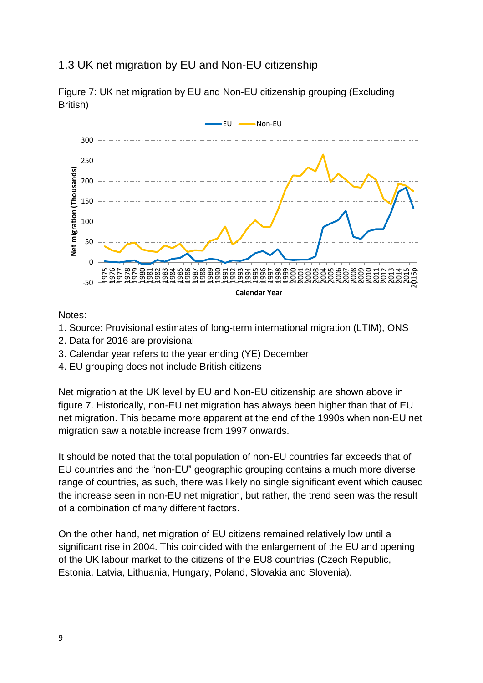## 1.3 UK net migration by EU and Non-EU citizenship



Figure 7: UK net migration by EU and Non-EU citizenship grouping (Excluding British)

Notes:

- 1. Source: Provisional estimates of long-term international migration (LTIM), ONS
- 2. Data for 2016 are provisional
- 3. Calendar year refers to the year ending (YE) December
- 4. EU grouping does not include British citizens

Net migration at the UK level by EU and Non-EU citizenship are shown above in figure 7. Historically, non-EU net migration has always been higher than that of EU net migration. This became more apparent at the end of the 1990s when non-EU net migration saw a notable increase from 1997 onwards.

It should be noted that the total population of non-EU countries far exceeds that of EU countries and the "non-EU" geographic grouping contains a much more diverse range of countries, as such, there was likely no single significant event which caused the increase seen in non-EU net migration, but rather, the trend seen was the result of a combination of many different factors.

On the other hand, net migration of EU citizens remained relatively low until a significant rise in 2004. This coincided with the enlargement of the EU and opening of the UK labour market to the citizens of the EU8 countries (Czech Republic, Estonia, Latvia, Lithuania, Hungary, Poland, Slovakia and Slovenia).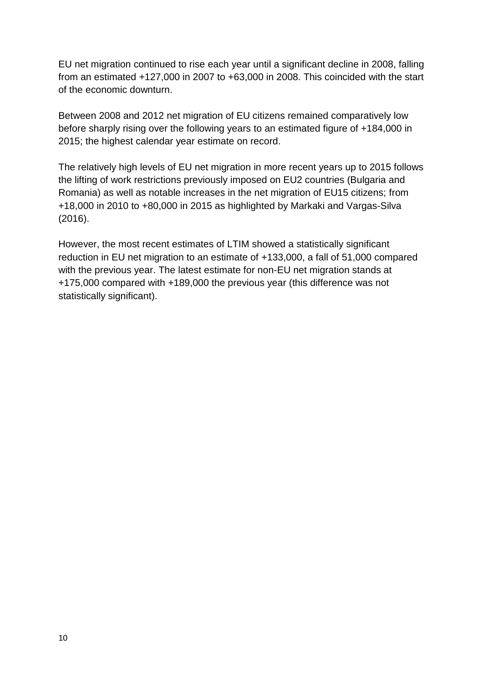EU net migration continued to rise each year until a significant decline in 2008, falling from an estimated +127,000 in 2007 to +63,000 in 2008. This coincided with the start of the economic downturn.

Between 2008 and 2012 net migration of EU citizens remained comparatively low before sharply rising over the following years to an estimated figure of +184,000 in 2015; the highest calendar year estimate on record.

The relatively high levels of EU net migration in more recent years up to 2015 follows the lifting of work restrictions previously imposed on EU2 countries (Bulgaria and Romania) as well as notable increases in the net migration of EU15 citizens; from +18,000 in 2010 to +80,000 in 2015 as highlighted by Markaki and Vargas-Silva (2016).

However, the most recent estimates of LTIM showed a statistically significant reduction in EU net migration to an estimate of +133,000, a fall of 51,000 compared with the previous year. The latest estimate for non-EU net migration stands at +175,000 compared with +189,000 the previous year (this difference was not statistically significant).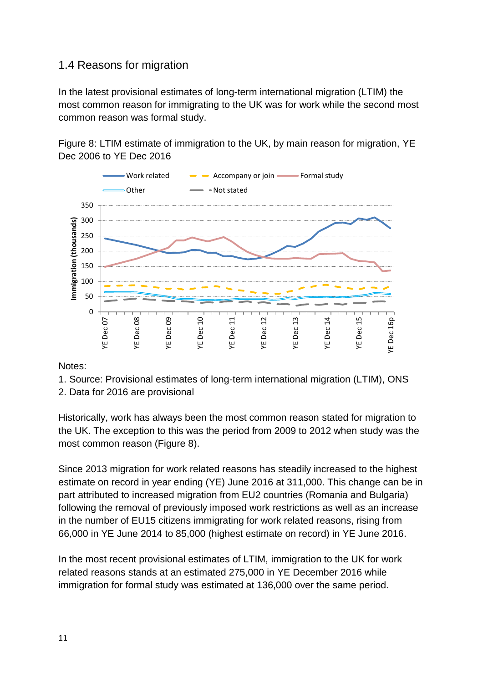## 1.4 Reasons for migration

In the latest provisional estimates of long-term international migration (LTIM) the most common reason for immigrating to the UK was for work while the second most common reason was formal study.

Figure 8: LTIM estimate of immigration to the UK, by main reason for migration, YE Dec 2006 to YE Dec 2016



Notes:

- 1. Source: Provisional estimates of long-term international migration (LTIM), ONS
- 2. Data for 2016 are provisional

Historically, work has always been the most common reason stated for migration to the UK. The exception to this was the period from 2009 to 2012 when study was the most common reason (Figure 8).

Since 2013 migration for work related reasons has steadily increased to the highest estimate on record in year ending (YE) June 2016 at 311,000. This change can be in part attributed to increased migration from EU2 countries (Romania and Bulgaria) following the removal of previously imposed work restrictions as well as an increase in the number of EU15 citizens immigrating for work related reasons, rising from 66,000 in YE June 2014 to 85,000 (highest estimate on record) in YE June 2016.

In the most recent provisional estimates of LTIM, immigration to the UK for work related reasons stands at an estimated 275,000 in YE December 2016 while immigration for formal study was estimated at 136,000 over the same period.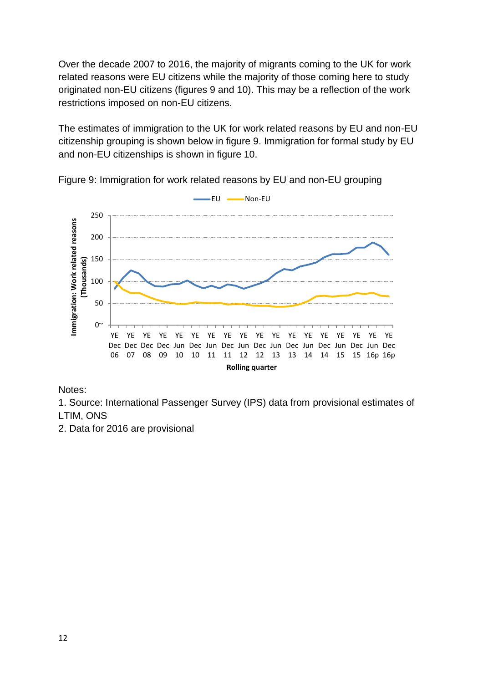Over the decade 2007 to 2016, the majority of migrants coming to the UK for work related reasons were EU citizens while the majority of those coming here to study originated non-EU citizens (figures 9 and 10). This may be a reflection of the work restrictions imposed on non-EU citizens.

The estimates of immigration to the UK for work related reasons by EU and non-EU citizenship grouping is shown below in figure 9. Immigration for formal study by EU and non-EU citizenships is shown in figure 10.



Figure 9: Immigration for work related reasons by EU and non-EU grouping

#### Notes:

1. Source: International Passenger Survey (IPS) data from provisional estimates of LTIM, ONS

2. Data for 2016 are provisional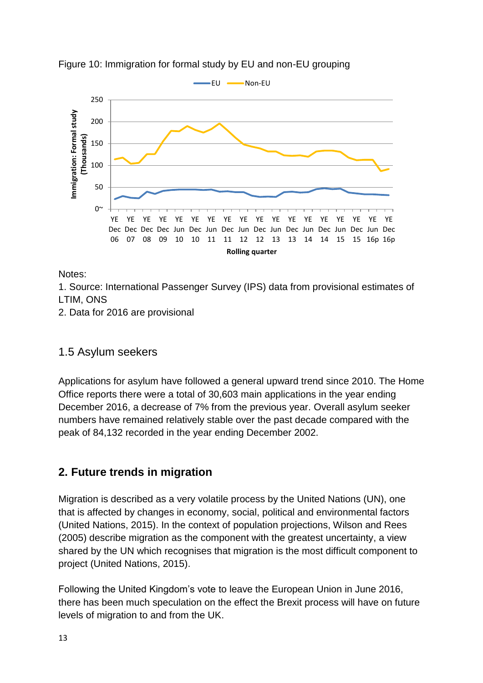



Notes:

1. Source: International Passenger Survey (IPS) data from provisional estimates of LTIM, ONS

2. Data for 2016 are provisional

### 1.5 Asylum seekers

Applications for asylum have followed a general upward trend since 2010. The Home Office reports there were a total of 30,603 main applications in the year ending December 2016, a decrease of 7% from the previous year. Overall asylum seeker numbers have remained relatively stable over the past decade compared with the peak of 84,132 recorded in the year ending December 2002.

# **2. Future trends in migration**

Migration is described as a very volatile process by the United Nations (UN), one that is affected by changes in economy, social, political and environmental factors (United Nations, 2015). In the context of population projections, Wilson and Rees (2005) describe migration as the component with the greatest uncertainty, a view shared by the UN which recognises that migration is the most difficult component to project (United Nations, 2015).

Following the United Kingdom's vote to leave the European Union in June 2016, there has been much speculation on the effect the Brexit process will have on future levels of migration to and from the UK.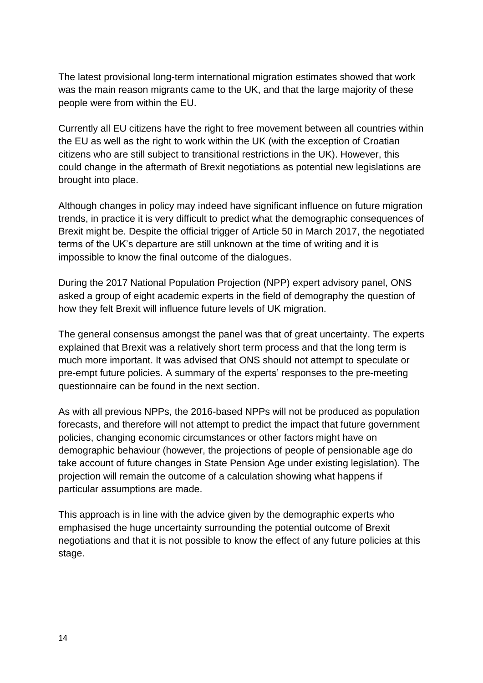The latest provisional long-term international migration estimates showed that work was the main reason migrants came to the UK, and that the large majority of these people were from within the EU.

Currently all EU citizens have the right to free movement between all countries within the EU as well as the right to work within the UK (with the exception of Croatian citizens who are still subject to transitional restrictions in the UK). However, this could change in the aftermath of Brexit negotiations as potential new legislations are brought into place.

Although changes in policy may indeed have significant influence on future migration trends, in practice it is very difficult to predict what the demographic consequences of Brexit might be. Despite the official trigger of Article 50 in March 2017, the negotiated terms of the UK's departure are still unknown at the time of writing and it is impossible to know the final outcome of the dialogues.

During the 2017 National Population Projection (NPP) expert advisory panel, ONS asked a group of eight academic experts in the field of demography the question of how they felt Brexit will influence future levels of UK migration.

The general consensus amongst the panel was that of great uncertainty. The experts explained that Brexit was a relatively short term process and that the long term is much more important. It was advised that ONS should not attempt to speculate or pre-empt future policies. A summary of the experts' responses to the pre-meeting questionnaire can be found in the next section.

As with all previous NPPs, the 2016-based NPPs will not be produced as population forecasts, and therefore will not attempt to predict the impact that future government policies, changing economic circumstances or other factors might have on demographic behaviour (however, the projections of people of pensionable age do take account of future changes in State Pension Age under existing legislation). The projection will remain the outcome of a calculation showing what happens if particular assumptions are made.

This approach is in line with the advice given by the demographic experts who emphasised the huge uncertainty surrounding the potential outcome of Brexit negotiations and that it is not possible to know the effect of any future policies at this stage.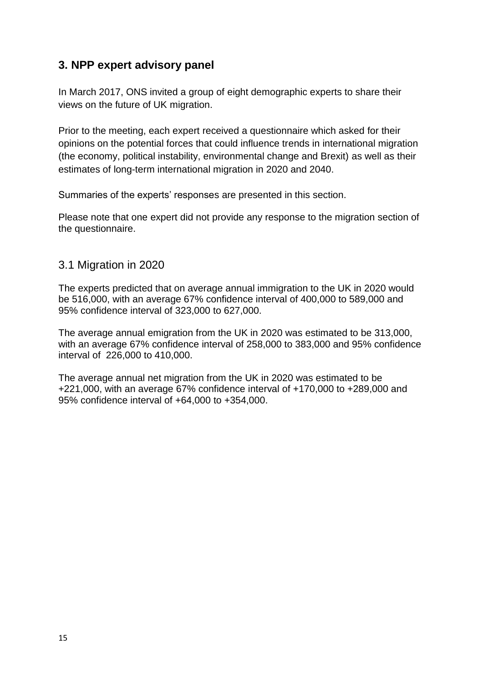## **3. NPP expert advisory panel**

In March 2017, ONS invited a group of eight demographic experts to share their views on the future of UK migration.

Prior to the meeting, each expert received a questionnaire which asked for their opinions on the potential forces that could influence trends in international migration (the economy, political instability, environmental change and Brexit) as well as their estimates of long-term international migration in 2020 and 2040.

Summaries of the experts' responses are presented in this section.

Please note that one expert did not provide any response to the migration section of the questionnaire.

### 3.1 Migration in 2020

The experts predicted that on average annual immigration to the UK in 2020 would be 516,000, with an average 67% confidence interval of 400,000 to 589,000 and 95% confidence interval of 323,000 to 627,000.

The average annual emigration from the UK in 2020 was estimated to be 313,000, with an average 67% confidence interval of 258,000 to 383,000 and 95% confidence interval of 226,000 to 410,000.

The average annual net migration from the UK in 2020 was estimated to be +221,000, with an average 67% confidence interval of +170,000 to +289,000 and 95% confidence interval of +64,000 to +354,000.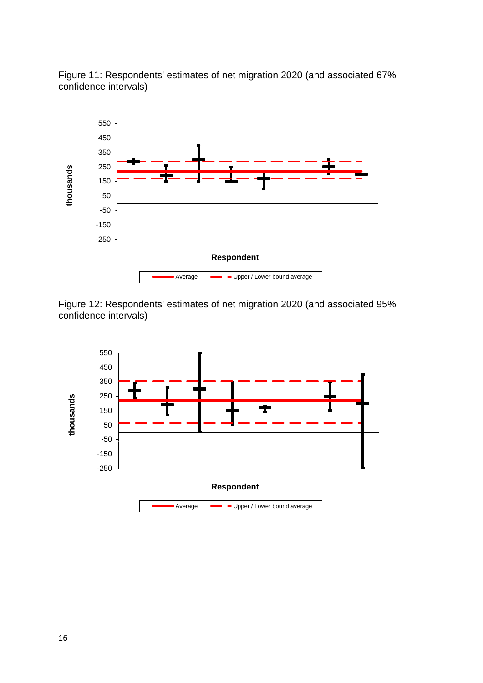



Figure 12: Respondents' estimates of net migration 2020 (and associated 95% confidence intervals)

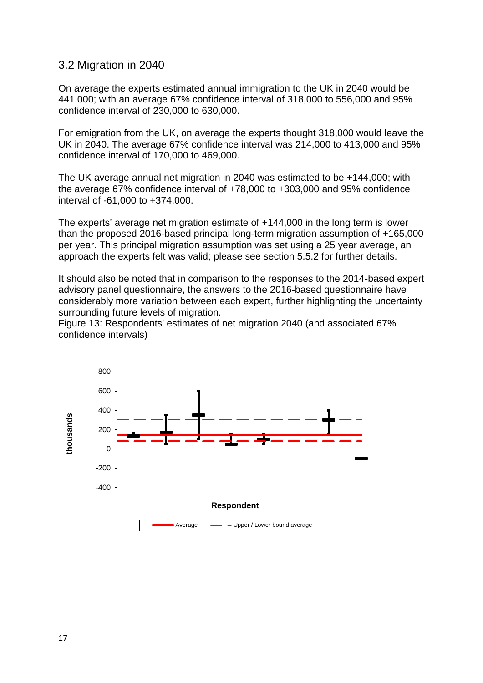#### 3.2 Migration in 2040

On average the experts estimated annual immigration to the UK in 2040 would be 441,000; with an average 67% confidence interval of 318,000 to 556,000 and 95% confidence interval of 230,000 to 630,000.

For emigration from the UK, on average the experts thought 318,000 would leave the UK in 2040. The average 67% confidence interval was 214,000 to 413,000 and 95% confidence interval of 170,000 to 469,000.

The UK average annual net migration in 2040 was estimated to be +144,000; with the average 67% confidence interval of +78,000 to +303,000 and 95% confidence interval of -61,000 to +374,000.

The experts' average net migration estimate of +144,000 in the long term is lower than the proposed 2016-based principal long-term migration assumption of +165,000 per year. This principal migration assumption was set using a 25 year average, an approach the experts felt was valid; please see section 5.5.2 for further details.

It should also be noted that in comparison to the responses to the 2014-based expert advisory panel questionnaire, the answers to the 2016-based questionnaire have considerably more variation between each expert, further highlighting the uncertainty surrounding future levels of migration.

Figure 13: Respondents' estimates of net migration 2040 (and associated 67% confidence intervals)

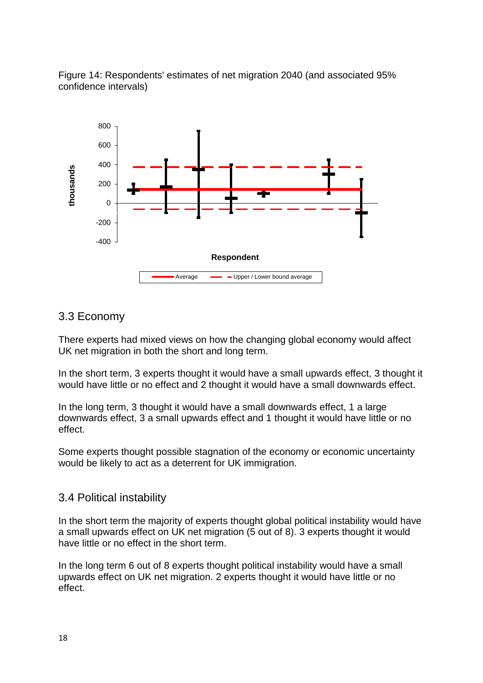Figure 14: Respondents' estimates of net migration 2040 (and associated 95% confidence intervals)



### 3.3 Economy

There experts had mixed views on how the changing global economy would affect UK net migration in both the short and long term.

In the short term, 3 experts thought it would have a small upwards effect, 3 thought it would have little or no effect and 2 thought it would have a small downwards effect.

In the long term, 3 thought it would have a small downwards effect, 1 a large downwards effect, 3 a small upwards effect and 1 thought it would have little or no effect.

Some experts thought possible stagnation of the economy or economic uncertainty would be likely to act as a deterrent for UK immigration.

### 3.4 Political instability

In the short term the majority of experts thought global political instability would have a small upwards effect on UK net migration (5 out of 8). 3 experts thought it would have little or no effect in the short term.

In the long term 6 out of 8 experts thought political instability would have a small upwards effect on UK net migration. 2 experts thought it would have little or no effect.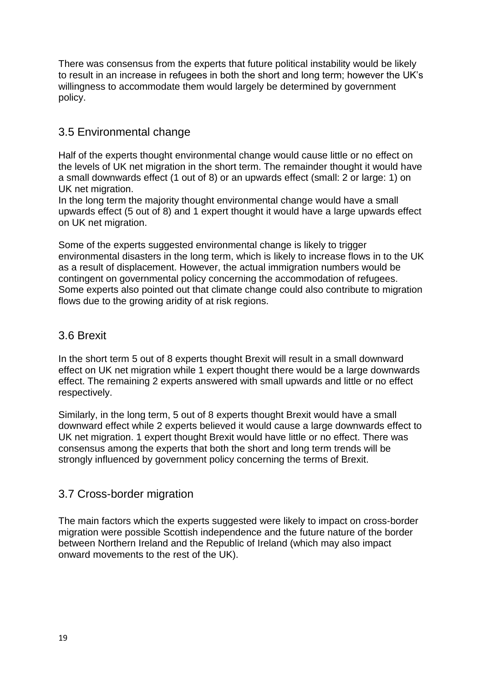There was consensus from the experts that future political instability would be likely to result in an increase in refugees in both the short and long term; however the UK's willingness to accommodate them would largely be determined by government policy.

### 3.5 Environmental change

Half of the experts thought environmental change would cause little or no effect on the levels of UK net migration in the short term. The remainder thought it would have a small downwards effect (1 out of 8) or an upwards effect (small: 2 or large: 1) on UK net migration.

In the long term the majority thought environmental change would have a small upwards effect (5 out of 8) and 1 expert thought it would have a large upwards effect on UK net migration.

Some of the experts suggested environmental change is likely to trigger environmental disasters in the long term, which is likely to increase flows in to the UK as a result of displacement. However, the actual immigration numbers would be contingent on governmental policy concerning the accommodation of refugees. Some experts also pointed out that climate change could also contribute to migration flows due to the growing aridity of at risk regions.

### 3.6 Brexit

In the short term 5 out of 8 experts thought Brexit will result in a small downward effect on UK net migration while 1 expert thought there would be a large downwards effect. The remaining 2 experts answered with small upwards and little or no effect respectively.

Similarly, in the long term, 5 out of 8 experts thought Brexit would have a small downward effect while 2 experts believed it would cause a large downwards effect to UK net migration. 1 expert thought Brexit would have little or no effect. There was consensus among the experts that both the short and long term trends will be strongly influenced by government policy concerning the terms of Brexit.

### 3.7 Cross-border migration

The main factors which the experts suggested were likely to impact on cross-border migration were possible Scottish independence and the future nature of the border between Northern Ireland and the Republic of Ireland (which may also impact onward movements to the rest of the UK).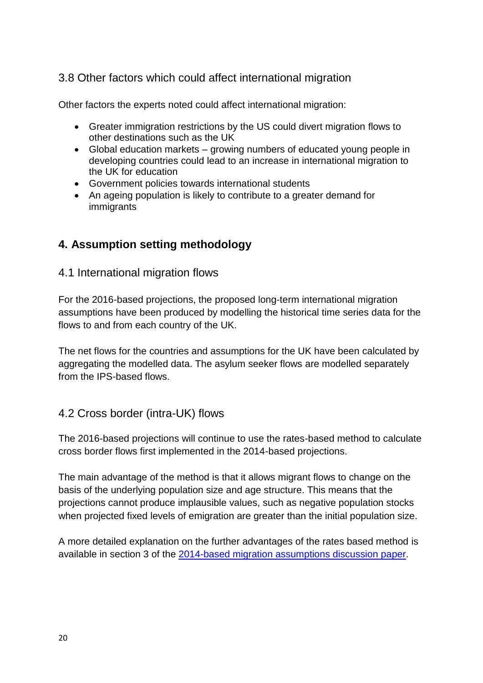## 3.8 Other factors which could affect international migration

Other factors the experts noted could affect international migration:

- Greater immigration restrictions by the US could divert migration flows to other destinations such as the UK
- Global education markets growing numbers of educated young people in developing countries could lead to an increase in international migration to the UK for education
- Government policies towards international students
- An ageing population is likely to contribute to a greater demand for immigrants

## **4. Assumption setting methodology**

#### 4.1 International migration flows

For the 2016-based projections, the proposed long-term international migration assumptions have been produced by modelling the historical time series data for the flows to and from each country of the UK.

The net flows for the countries and assumptions for the UK have been calculated by aggregating the modelled data. The asylum seeker flows are modelled separately from the IPS-based flows.

## 4.2 Cross border (intra-UK) flows

The 2016-based projections will continue to use the rates-based method to calculate cross border flows first implemented in the 2014-based projections.

The main advantage of the method is that it allows migrant flows to change on the basis of the underlying population size and age structure. This means that the projections cannot produce implausible values, such as negative population stocks when projected fixed levels of emigration are greater than the initial population size.

A more detailed explanation on the further advantages of the rates based method is available in section 3 of the [2014-based migration assumptions discussion paper.](http://webarchive.nationalarchives.gov.uk/20160105160709/http:/www.ons.gov.uk/ons/guide-method/method-quality/specific/population-and-migration/population-projections/migration-discussion-paper.pdf)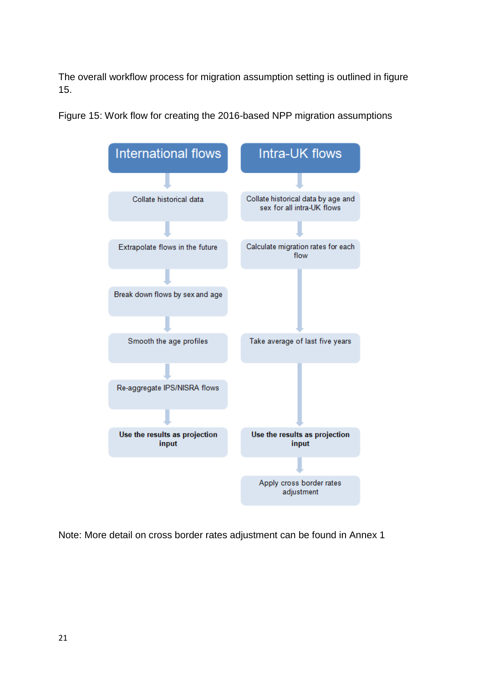The overall workflow process for migration assumption setting is outlined in figure 15.

Figure 15: Work flow for creating the 2016-based NPP migration assumptions



Note: More detail on cross border rates adjustment can be found in Annex 1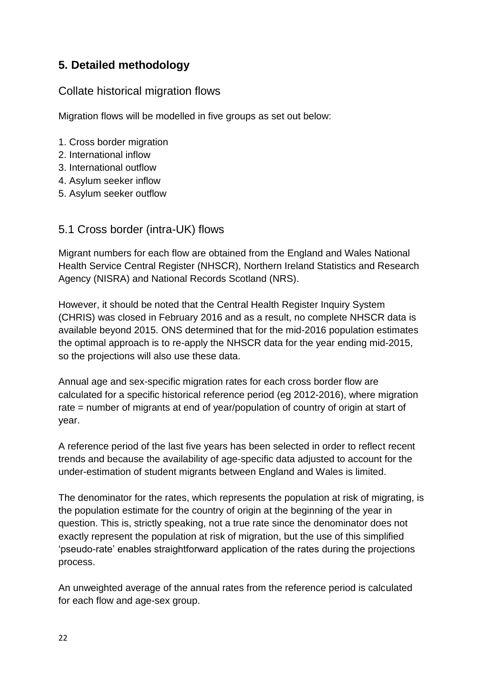# **5. Detailed methodology**

### Collate historical migration flows

Migration flows will be modelled in five groups as set out below:

- 1. Cross border migration
- 2. International inflow
- 3. International outflow
- 4. Asylum seeker inflow
- 5. Asylum seeker outflow

#### 5.1 Cross border (intra-UK) flows

Migrant numbers for each flow are obtained from the England and Wales National Health Service Central Register (NHSCR), Northern Ireland Statistics and Research Agency (NISRA) and National Records Scotland (NRS).

However, it should be noted that the Central Health Register Inquiry System (CHRIS) was closed in February 2016 and as a result, no complete NHSCR data is available beyond 2015. ONS determined that for the mid-2016 population estimates the optimal approach is to re-apply the NHSCR data for the year ending mid-2015, so the projections will also use these data.

Annual age and sex-specific migration rates for each cross border flow are calculated for a specific historical reference period (eg 2012-2016), where migration rate = number of migrants at end of year/population of country of origin at start of year.

A reference period of the last five years has been selected in order to reflect recent trends and because the availability of age-specific data adjusted to account for the under-estimation of student migrants between England and Wales is limited.

The denominator for the rates, which represents the population at risk of migrating, is the population estimate for the country of origin at the beginning of the year in question. This is, strictly speaking, not a true rate since the denominator does not exactly represent the population at risk of migration, but the use of this simplified 'pseudo-rate' enables straightforward application of the rates during the projections process.

An unweighted average of the annual rates from the reference period is calculated for each flow and age-sex group.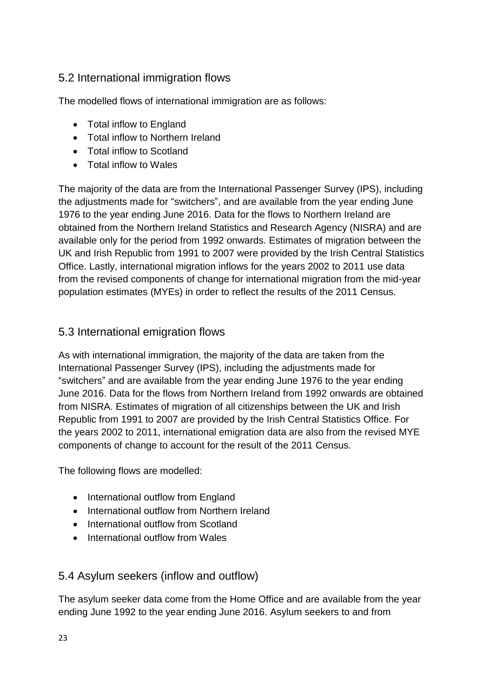## 5.2 International immigration flows

The modelled flows of international immigration are as follows:

- Total inflow to England
- Total inflow to Northern Ireland
- Total inflow to Scotland
- Total inflow to Wales

The majority of the data are from the International Passenger Survey (IPS), including the adjustments made for "switchers", and are available from the year ending June 1976 to the year ending June 2016. Data for the flows to Northern Ireland are obtained from the Northern Ireland Statistics and Research Agency (NISRA) and are available only for the period from 1992 onwards. Estimates of migration between the UK and Irish Republic from 1991 to 2007 were provided by the Irish Central Statistics Office. Lastly, international migration inflows for the years 2002 to 2011 use data from the revised components of change for international migration from the mid-year population estimates (MYEs) in order to reflect the results of the 2011 Census.

### 5.3 International emigration flows

As with international immigration, the majority of the data are taken from the International Passenger Survey (IPS), including the adjustments made for "switchers" and are available from the year ending June 1976 to the year ending June 2016. Data for the flows from Northern Ireland from 1992 onwards are obtained from NISRA. Estimates of migration of all citizenships between the UK and Irish Republic from 1991 to 2007 are provided by the Irish Central Statistics Office. For the years 2002 to 2011, international emigration data are also from the revised MYE components of change to account for the result of the 2011 Census.

The following flows are modelled:

- International outflow from England
- International outflow from Northern Ireland
- International outflow from Scotland
- International outflow from Wales

## 5.4 Asylum seekers (inflow and outflow)

The asylum seeker data come from the Home Office and are available from the year ending June 1992 to the year ending June 2016. Asylum seekers to and from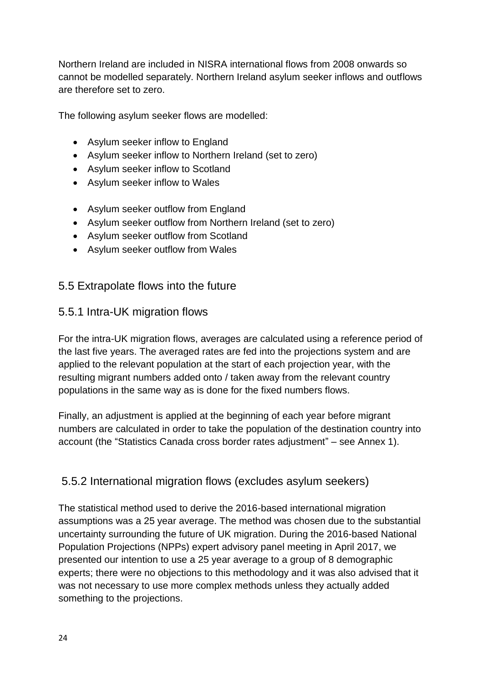Northern Ireland are included in NISRA international flows from 2008 onwards so cannot be modelled separately. Northern Ireland asylum seeker inflows and outflows are therefore set to zero.

The following asylum seeker flows are modelled:

- Asylum seeker inflow to England
- Asylum seeker inflow to Northern Ireland (set to zero)
- Asylum seeker inflow to Scotland
- Asylum seeker inflow to Wales
- Asylum seeker outflow from England
- Asylum seeker outflow from Northern Ireland (set to zero)
- Asylum seeker outflow from Scotland
- Asylum seeker outflow from Wales

### 5.5 Extrapolate flows into the future

### 5.5.1 Intra-UK migration flows

For the intra-UK migration flows, averages are calculated using a reference period of the last five years. The averaged rates are fed into the projections system and are applied to the relevant population at the start of each projection year, with the resulting migrant numbers added onto / taken away from the relevant country populations in the same way as is done for the fixed numbers flows.

Finally, an adjustment is applied at the beginning of each year before migrant numbers are calculated in order to take the population of the destination country into account (the "Statistics Canada cross border rates adjustment" – see Annex 1).

### 5.5.2 International migration flows (excludes asylum seekers)

The statistical method used to derive the 2016-based international migration assumptions was a 25 year average. The method was chosen due to the substantial uncertainty surrounding the future of UK migration. During the 2016-based National Population Projections (NPPs) expert advisory panel meeting in April 2017, we presented our intention to use a 25 year average to a group of 8 demographic experts; there were no objections to this methodology and it was also advised that it was not necessary to use more complex methods unless they actually added something to the projections.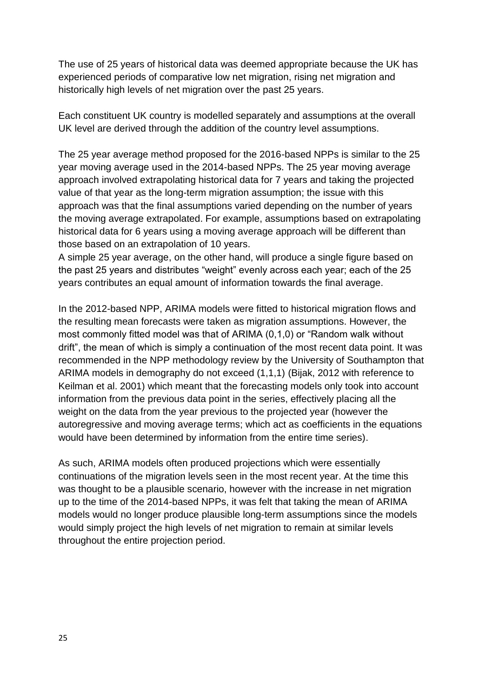The use of 25 years of historical data was deemed appropriate because the UK has experienced periods of comparative low net migration, rising net migration and historically high levels of net migration over the past 25 years.

Each constituent UK country is modelled separately and assumptions at the overall UK level are derived through the addition of the country level assumptions.

The 25 year average method proposed for the 2016-based NPPs is similar to the 25 year moving average used in the 2014-based NPPs. The 25 year moving average approach involved extrapolating historical data for 7 years and taking the projected value of that year as the long-term migration assumption; the issue with this approach was that the final assumptions varied depending on the number of years the moving average extrapolated. For example, assumptions based on extrapolating historical data for 6 years using a moving average approach will be different than those based on an extrapolation of 10 years.

A simple 25 year average, on the other hand, will produce a single figure based on the past 25 years and distributes "weight" evenly across each year; each of the 25 years contributes an equal amount of information towards the final average.

In the 2012-based NPP, ARIMA models were fitted to historical migration flows and the resulting mean forecasts were taken as migration assumptions. However, the most commonly fitted model was that of ARIMA (0,1,0) or "Random walk without drift", the mean of which is simply a continuation of the most recent data point. It was recommended in the NPP methodology review by the University of Southampton that ARIMA models in demography do not exceed (1,1,1) (Bijak, 2012 with reference to Keilman et al. 2001) which meant that the forecasting models only took into account information from the previous data point in the series, effectively placing all the weight on the data from the year previous to the projected year (however the autoregressive and moving average terms; which act as coefficients in the equations would have been determined by information from the entire time series).

As such, ARIMA models often produced projections which were essentially continuations of the migration levels seen in the most recent year. At the time this was thought to be a plausible scenario, however with the increase in net migration up to the time of the 2014-based NPPs, it was felt that taking the mean of ARIMA models would no longer produce plausible long-term assumptions since the models would simply project the high levels of net migration to remain at similar levels throughout the entire projection period.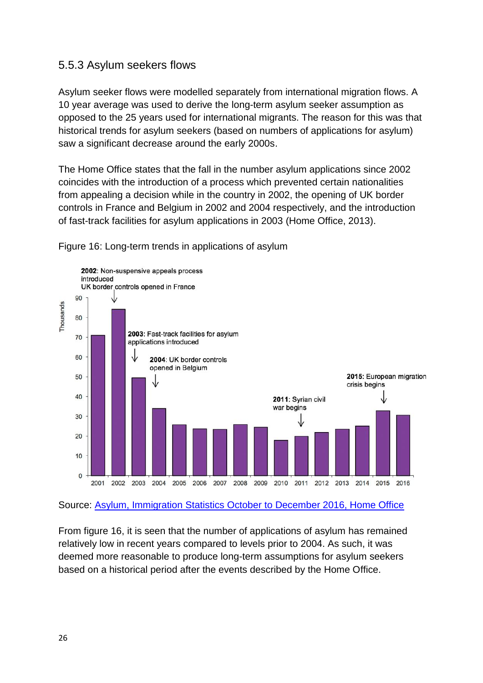### 5.5.3 Asylum seekers flows

Asylum seeker flows were modelled separately from international migration flows. A 10 year average was used to derive the long-term asylum seeker assumption as opposed to the 25 years used for international migrants. The reason for this was that historical trends for asylum seekers (based on numbers of applications for asylum) saw a significant decrease around the early 2000s.

The Home Office states that the fall in the number asylum applications since 2002 coincides with the introduction of a process which prevented certain nationalities from appealing a decision while in the country in 2002, the opening of UK border controls in France and Belgium in 2002 and 2004 respectively, and the introduction of fast-track facilities for asylum applications in 2003 (Home Office, 2013).

#### Figure 16: Long-term trends in applications of asylum



Source: [Asylum, Immigration Statistics October to December 2016, Home Office](https://www.gov.uk/government/publications/immigration-statistics-october-to-december-2016/asylum)

From figure 16, it is seen that the number of applications of asylum has remained relatively low in recent years compared to levels prior to 2004. As such, it was deemed more reasonable to produce long-term assumptions for asylum seekers based on a historical period after the events described by the Home Office.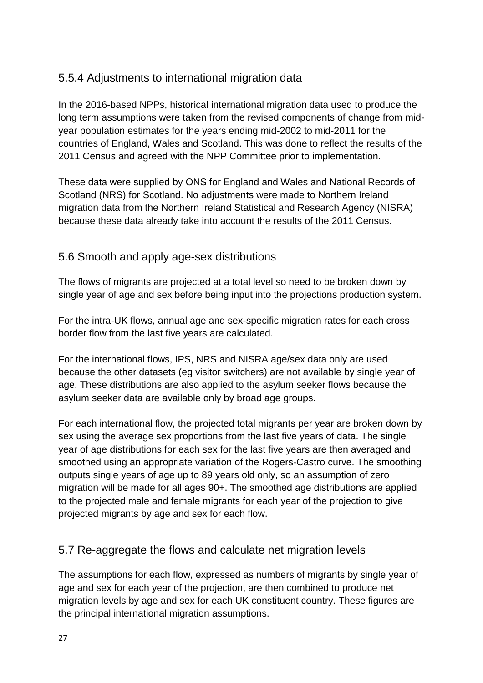## 5.5.4 Adjustments to international migration data

In the 2016-based NPPs, historical international migration data used to produce the long term assumptions were taken from the revised components of change from midyear population estimates for the years ending mid-2002 to mid-2011 for the countries of England, Wales and Scotland. This was done to reflect the results of the 2011 Census and agreed with the NPP Committee prior to implementation.

These data were supplied by ONS for England and Wales and National Records of Scotland (NRS) for Scotland. No adjustments were made to Northern Ireland migration data from the Northern Ireland Statistical and Research Agency (NISRA) because these data already take into account the results of the 2011 Census.

### 5.6 Smooth and apply age-sex distributions

The flows of migrants are projected at a total level so need to be broken down by single year of age and sex before being input into the projections production system.

For the intra-UK flows, annual age and sex-specific migration rates for each cross border flow from the last five years are calculated.

For the international flows, IPS, NRS and NISRA age/sex data only are used because the other datasets (eg visitor switchers) are not available by single year of age. These distributions are also applied to the asylum seeker flows because the asylum seeker data are available only by broad age groups.

For each international flow, the projected total migrants per year are broken down by sex using the average sex proportions from the last five years of data. The single year of age distributions for each sex for the last five years are then averaged and smoothed using an appropriate variation of the Rogers-Castro curve. The smoothing outputs single years of age up to 89 years old only, so an assumption of zero migration will be made for all ages 90+. The smoothed age distributions are applied to the projected male and female migrants for each year of the projection to give projected migrants by age and sex for each flow.

## 5.7 Re-aggregate the flows and calculate net migration levels

The assumptions for each flow, expressed as numbers of migrants by single year of age and sex for each year of the projection, are then combined to produce net migration levels by age and sex for each UK constituent country. These figures are the principal international migration assumptions.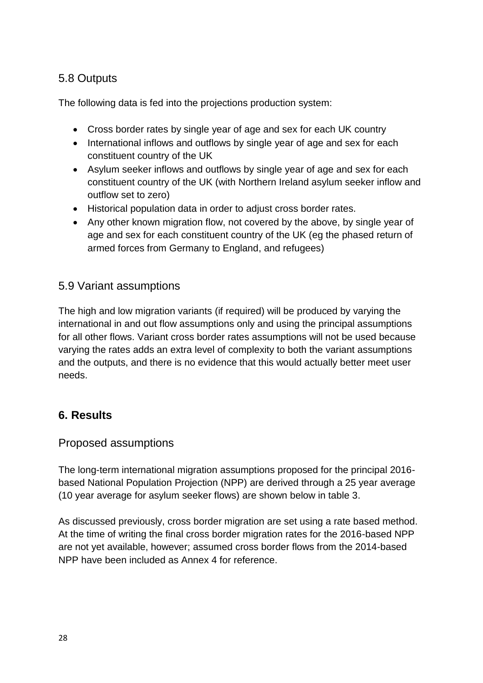# 5.8 Outputs

The following data is fed into the projections production system:

- Cross border rates by single year of age and sex for each UK country
- International inflows and outflows by single year of age and sex for each constituent country of the UK
- Asylum seeker inflows and outflows by single year of age and sex for each constituent country of the UK (with Northern Ireland asylum seeker inflow and outflow set to zero)
- Historical population data in order to adjust cross border rates.
- Any other known migration flow, not covered by the above, by single year of age and sex for each constituent country of the UK (eg the phased return of armed forces from Germany to England, and refugees)

### 5.9 Variant assumptions

The high and low migration variants (if required) will be produced by varying the international in and out flow assumptions only and using the principal assumptions for all other flows. Variant cross border rates assumptions will not be used because varying the rates adds an extra level of complexity to both the variant assumptions and the outputs, and there is no evidence that this would actually better meet user needs.

## **6. Results**

### Proposed assumptions

The long-term international migration assumptions proposed for the principal 2016 based National Population Projection (NPP) are derived through a 25 year average (10 year average for asylum seeker flows) are shown below in table 3.

As discussed previously, cross border migration are set using a rate based method. At the time of writing the final cross border migration rates for the 2016-based NPP are not yet available, however; assumed cross border flows from the 2014-based NPP have been included as Annex 4 for reference.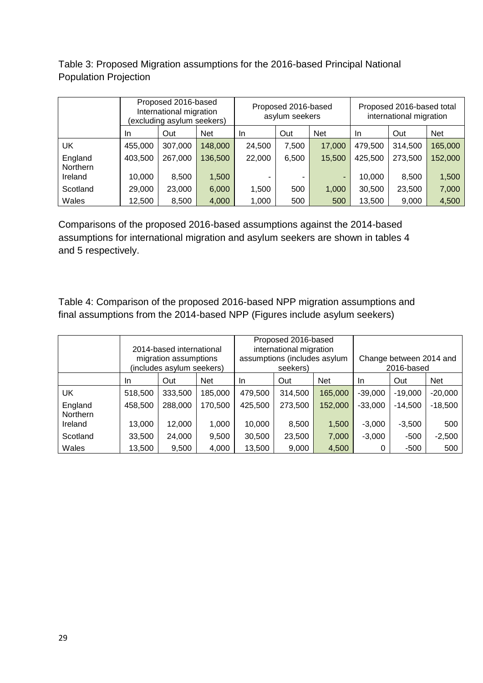Table 3: Proposed Migration assumptions for the 2016-based Principal National Population Projection

|                     | Proposed 2016-based<br>International migration<br>(excluding asylum seekers) |         |            | Proposed 2016-based<br>asylum seekers |       |                          |         | Proposed 2016-based total<br>international migration |            |
|---------------------|------------------------------------------------------------------------------|---------|------------|---------------------------------------|-------|--------------------------|---------|------------------------------------------------------|------------|
|                     | In.                                                                          | Out     | <b>Net</b> | In.                                   | Out   | <b>Net</b>               | In.     | Out                                                  | <b>Net</b> |
| UK                  | 455,000                                                                      | 307,000 | 148,000    | 24,500                                | 7,500 | 17,000                   | 479.500 | 314,500                                              | 165,000    |
| England<br>Northern | 403,500                                                                      | 267,000 | 136,500    | 22,000                                | 6,500 | 15,500                   | 425,500 | 273,500                                              | 152,000    |
| Ireland             | 10,000                                                                       | 8,500   | 1,500      |                                       |       | $\overline{\phantom{a}}$ | 10,000  | 8,500                                                | 1,500      |
| Scotland            | 29,000                                                                       | 23,000  | 6,000      | 1,500                                 | 500   | 1,000                    | 30,500  | 23,500                                               | 7,000      |
| Wales               | 12,500                                                                       | 8,500   | 4,000      | 1,000                                 | 500   | 500                      | 13,500  | 9,000                                                | 4,500      |

Comparisons of the proposed 2016-based assumptions against the 2014-based assumptions for international migration and asylum seekers are shown in tables 4 and 5 respectively.

Table 4: Comparison of the proposed 2016-based NPP migration assumptions and final assumptions from the 2014-based NPP (Figures include asylum seekers)

|                     |         | 2014-based international<br>migration assumptions<br>(includes asylum seekers) |            |         | Proposed 2016-based<br>international migration<br>assumptions (includes asylum<br>seekers) |            |           | Change between 2014 and<br>2016-based |            |
|---------------------|---------|--------------------------------------------------------------------------------|------------|---------|--------------------------------------------------------------------------------------------|------------|-----------|---------------------------------------|------------|
|                     | In.     | Out                                                                            | <b>Net</b> | In.     | Out                                                                                        | <b>Net</b> | In.       | Out                                   | <b>Net</b> |
| UK                  | 518,500 | 333,500                                                                        | 185,000    | 479,500 | 314,500                                                                                    | 165,000    | $-39,000$ | $-19,000$                             | $-20,000$  |
| England<br>Northern | 458,500 | 288,000                                                                        | 170,500    | 425,500 | 273,500                                                                                    | 152,000    | $-33,000$ | $-14,500$                             | $-18,500$  |
| Ireland             | 13,000  | 12,000                                                                         | 1,000      | 10,000  | 8,500                                                                                      | 1,500      | $-3,000$  | $-3,500$                              | 500        |
| Scotland            | 33,500  | 24,000                                                                         | 9,500      | 30,500  | 23,500                                                                                     | 7,000      | $-3,000$  | $-500$                                | $-2,500$   |
| Wales               | 13,500  | 9,500                                                                          | 4,000      | 13,500  | 9,000                                                                                      | 4,500      | 0         | -500                                  | 500        |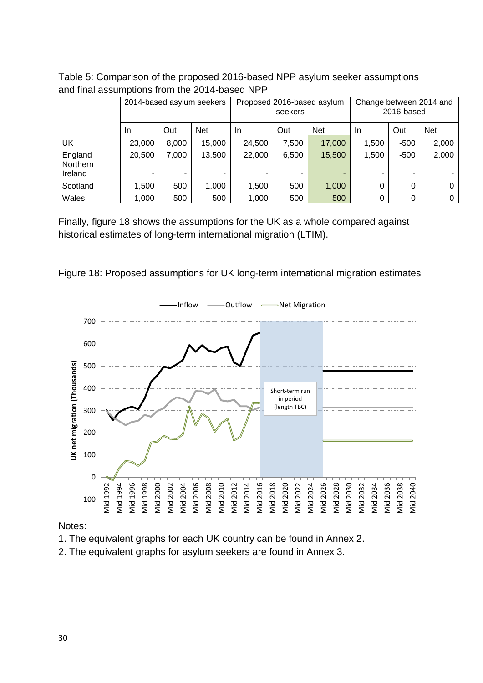|                                | 2014-based asylum seekers |       |            | Proposed 2016-based asylum<br>seekers |       |             | Change between 2014 and<br>2016-based |             |            |
|--------------------------------|---------------------------|-------|------------|---------------------------------------|-------|-------------|---------------------------------------|-------------|------------|
|                                | In                        | Out   | <b>Net</b> | <b>In</b>                             | Out   | <b>Net</b>  | In.                                   | Out         | <b>Net</b> |
| UK                             | 23,000                    | 8,000 | 15,000     | 24,500                                | 7,500 | 17,000      | 1,500                                 | $-500$      | 2,000      |
| England<br>Northern<br>Ireland | 20,500                    | 7,000 | 13,500     | 22,000                                | 6,500 | 15,500<br>- | 1,500                                 | $-500$<br>- | 2,000      |
| Scotland                       | 1,500                     | 500   | 1,000      | 1,500                                 | 500   | 1,000       | 0                                     | 0           | 0          |
| Wales                          | 1,000                     | 500   | 500        | 1,000                                 | 500   | 500         | 0                                     | 0           | 0          |

Table 5: Comparison of the proposed 2016-based NPP asylum seeker assumptions and final assumptions from the 2014-based NPP

Finally, figure 18 shows the assumptions for the UK as a whole compared against historical estimates of long-term international migration (LTIM).





Notes:

- 1. The equivalent graphs for each UK country can be found in Annex 2.
- 2. The equivalent graphs for asylum seekers are found in Annex 3.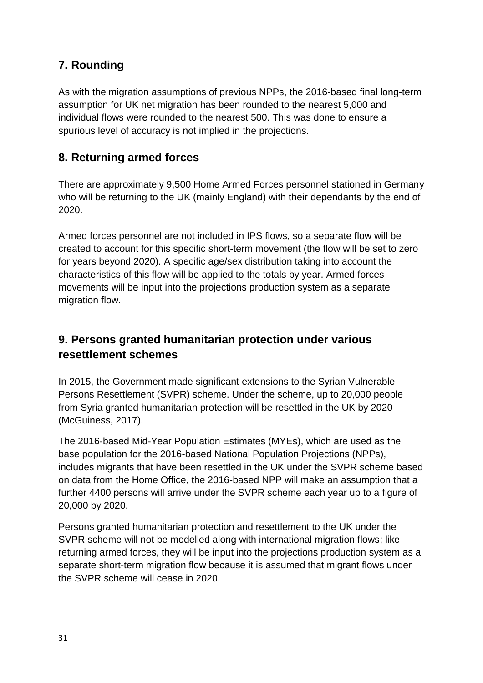# **7. Rounding**

As with the migration assumptions of previous NPPs, the 2016-based final long-term assumption for UK net migration has been rounded to the nearest 5,000 and individual flows were rounded to the nearest 500. This was done to ensure a spurious level of accuracy is not implied in the projections.

# **8. Returning armed forces**

There are approximately 9,500 Home Armed Forces personnel stationed in Germany who will be returning to the UK (mainly England) with their dependants by the end of 2020.

Armed forces personnel are not included in IPS flows, so a separate flow will be created to account for this specific short-term movement (the flow will be set to zero for years beyond 2020). A specific age/sex distribution taking into account the characteristics of this flow will be applied to the totals by year. Armed forces movements will be input into the projections production system as a separate migration flow.

# **9. Persons granted humanitarian protection under various resettlement schemes**

In 2015, the Government made significant extensions to the Syrian Vulnerable Persons Resettlement (SVPR) scheme. Under the scheme, up to 20,000 people from Syria granted humanitarian protection will be resettled in the UK by 2020 (McGuiness, 2017).

The 2016-based Mid-Year Population Estimates (MYEs), which are used as the base population for the 2016-based National Population Projections (NPPs), includes migrants that have been resettled in the UK under the SVPR scheme based on data from the Home Office, the 2016-based NPP will make an assumption that a further 4400 persons will arrive under the SVPR scheme each year up to a figure of 20,000 by 2020.

Persons granted humanitarian protection and resettlement to the UK under the SVPR scheme will not be modelled along with international migration flows; like returning armed forces, they will be input into the projections production system as a separate short-term migration flow because it is assumed that migrant flows under the SVPR scheme will cease in 2020.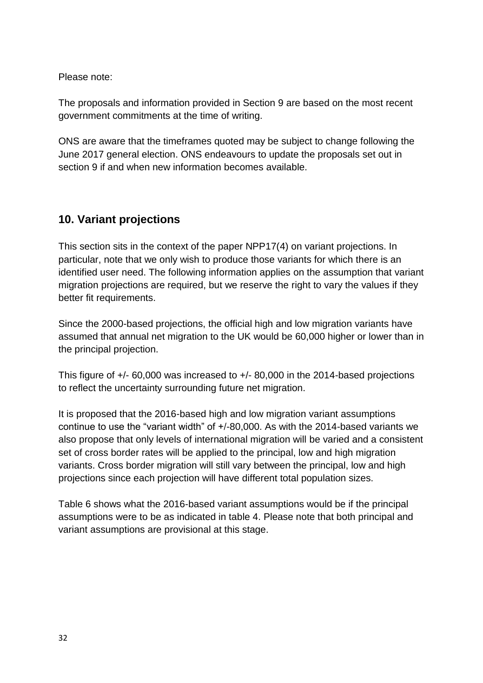Please note:

The proposals and information provided in Section 9 are based on the most recent government commitments at the time of writing.

ONS are aware that the timeframes quoted may be subject to change following the June 2017 general election. ONS endeavours to update the proposals set out in section 9 if and when new information becomes available.

## **10. Variant projections**

This section sits in the context of the paper NPP17(4) on variant projections. In particular, note that we only wish to produce those variants for which there is an identified user need. The following information applies on the assumption that variant migration projections are required, but we reserve the right to vary the values if they better fit requirements.

Since the 2000-based projections, the official high and low migration variants have assumed that annual net migration to the UK would be 60,000 higher or lower than in the principal projection.

This figure of +/- 60,000 was increased to +/- 80,000 in the 2014-based projections to reflect the uncertainty surrounding future net migration.

It is proposed that the 2016-based high and low migration variant assumptions continue to use the "variant width" of +/-80,000. As with the 2014-based variants we also propose that only levels of international migration will be varied and a consistent set of cross border rates will be applied to the principal, low and high migration variants. Cross border migration will still vary between the principal, low and high projections since each projection will have different total population sizes.

Table 6 shows what the 2016-based variant assumptions would be if the principal assumptions were to be as indicated in table 4. Please note that both principal and variant assumptions are provisional at this stage.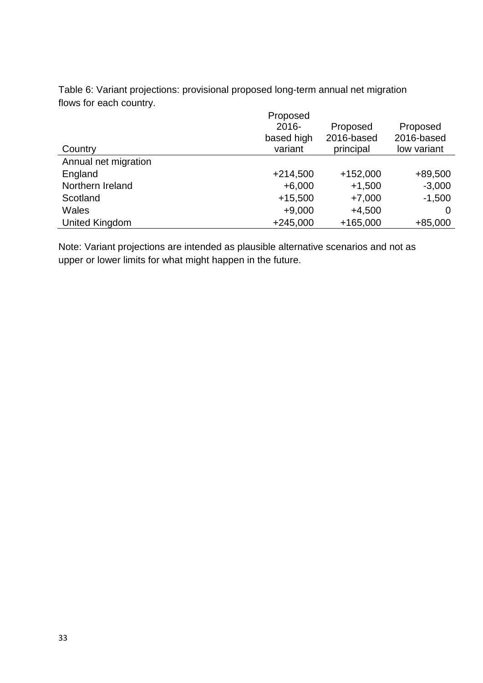Table 6: Variant projections: provisional proposed long-term annual net migration flows for each country.

| Country              | Proposed<br>$2016 -$<br>based high<br>variant | Proposed<br>2016-based<br>principal | Proposed<br>2016-based<br>low variant |
|----------------------|-----------------------------------------------|-------------------------------------|---------------------------------------|
| Annual net migration |                                               |                                     |                                       |
| England              | $+214,500$                                    | $+152,000$                          | +89,500                               |
| Northern Ireland     | $+6,000$                                      | $+1,500$                            | $-3,000$                              |
| Scotland             | $+15,500$                                     | $+7,000$                            | $-1,500$                              |
| Wales                | $+9,000$                                      | $+4,500$                            |                                       |
| United Kingdom       | $+245,000$                                    | $+165,000$                          | $+85,000$                             |

Note: Variant projections are intended as plausible alternative scenarios and not as upper or lower limits for what might happen in the future.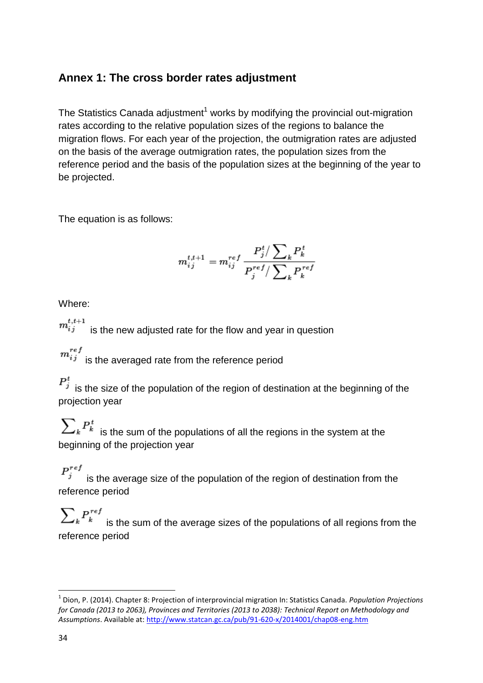# **Annex 1: The cross border rates adjustment**

The Statistics Canada adjustment<sup>1</sup> works by modifying the provincial out-migration rates according to the relative population sizes of the regions to balance the migration flows. For each year of the projection, the outmigration rates are adjusted on the basis of the average outmigration rates, the population sizes from the reference period and the basis of the population sizes at the beginning of the year to be projected.

The equation is as follows:

$$
m_{ij}^{t,t+1} = m_{ij}^{ref} \frac{P_j^t / \sum_k P_k^t}{P_j^{ref} / \sum_k P_k^{ref}}
$$

Where:

 $m_{ij}^{t,t+1}$  is the new adjusted rate for the flow and year in question

 $\begin{array}{l} m_{ij}^{ref} \end{array}$  is the averaged rate from the reference period

 $P_j^t$  is the size of the population of the region of destination at the beginning of the projection year

 $\sum_{k} P_{k}^{t}$  is the sum of the populations of all the regions in the system at the beginning of the projection year

 $P_j^{ref}$  is the average size of the population of the region of destination from the reference period

 $\sum_{k} P_{k}^{ref}$  is the sum of the average sizes of the populations of all regions from the reference period

**.** 

<sup>1</sup> Dion, P. (2014). Chapter 8: Projection of interprovincial migration In: Statistics Canada. *Population Projections for Canada (2013 to 2063), Provinces and Territories (2013 to 2038): Technical Report on Methodology and Assumptions*. Available at[: http://www.statcan.gc.ca/pub/91-620-x/2014001/chap08-eng.htm](http://www.statcan.gc.ca/pub/91-620-x/2014001/chap08-eng.htm)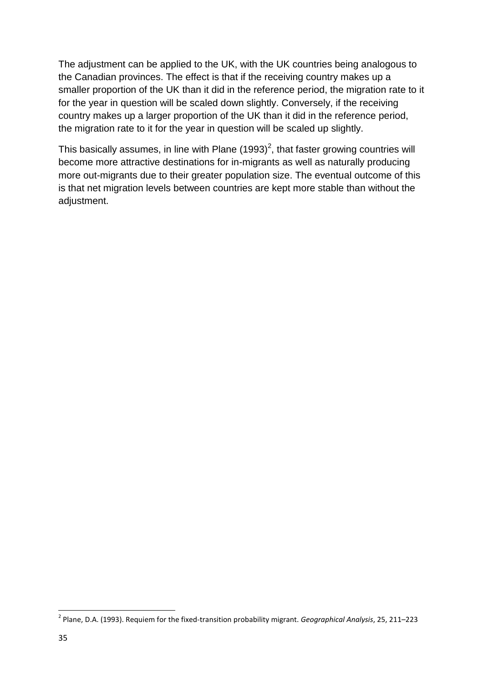The adjustment can be applied to the UK, with the UK countries being analogous to the Canadian provinces. The effect is that if the receiving country makes up a smaller proportion of the UK than it did in the reference period, the migration rate to it for the year in question will be scaled down slightly. Conversely, if the receiving country makes up a larger proportion of the UK than it did in the reference period, the migration rate to it for the year in question will be scaled up slightly.

This basically assumes, in line with Plane (1993)<sup>2</sup>, that faster growing countries will become more attractive destinations for in-migrants as well as naturally producing more out-migrants due to their greater population size. The eventual outcome of this is that net migration levels between countries are kept more stable than without the adjustment.

**.** 

<sup>2</sup> Plane, D.A. (1993). Requiem for the fixed-transition probability migrant. *Geographical Analysis*, 25, 211–223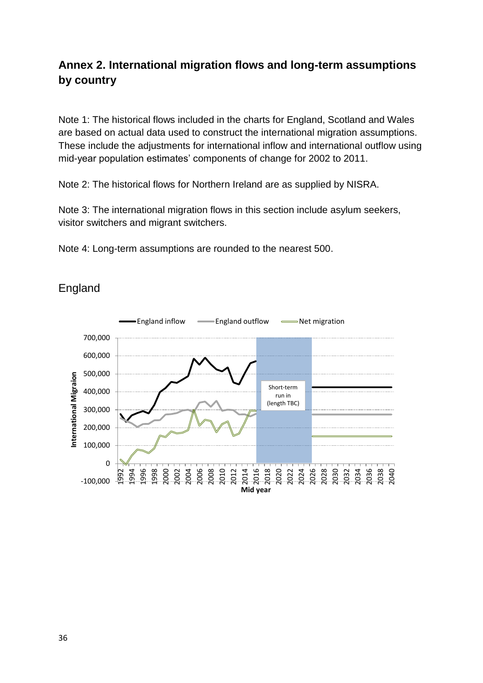# **Annex 2. International migration flows and long-term assumptions by country**

Note 1: The historical flows included in the charts for England, Scotland and Wales are based on actual data used to construct the international migration assumptions. These include the adjustments for international inflow and international outflow using mid-year population estimates' components of change for 2002 to 2011.

Note 2: The historical flows for Northern Ireland are as supplied by NISRA.

Note 3: The international migration flows in this section include asylum seekers, visitor switchers and migrant switchers.

Note 4: Long-term assumptions are rounded to the nearest 500.



## **England**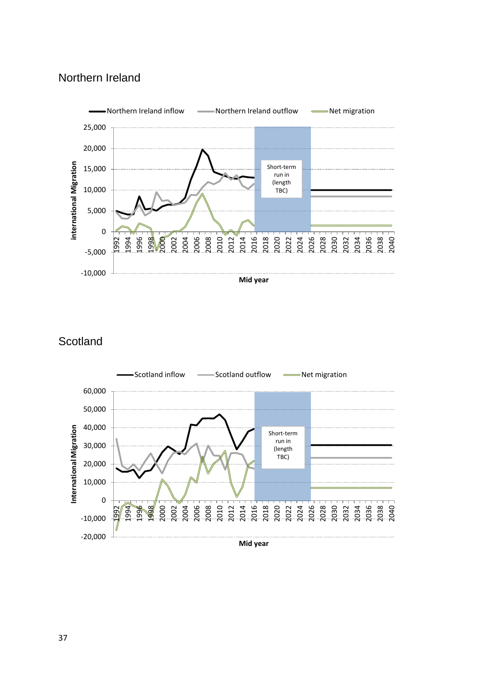## Northern Ireland



**Scotland** 

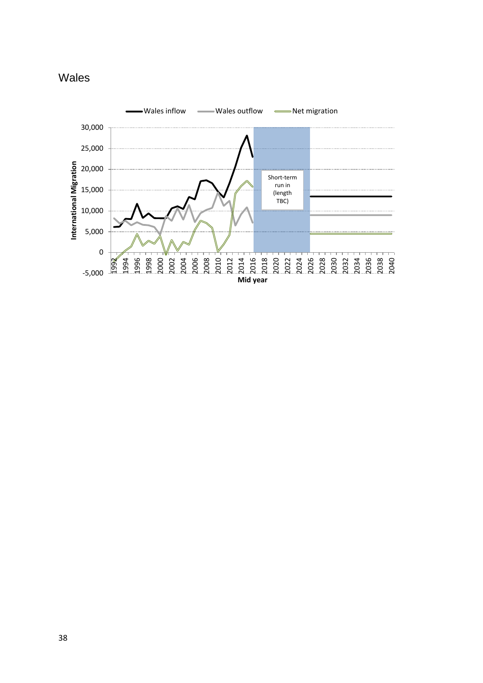

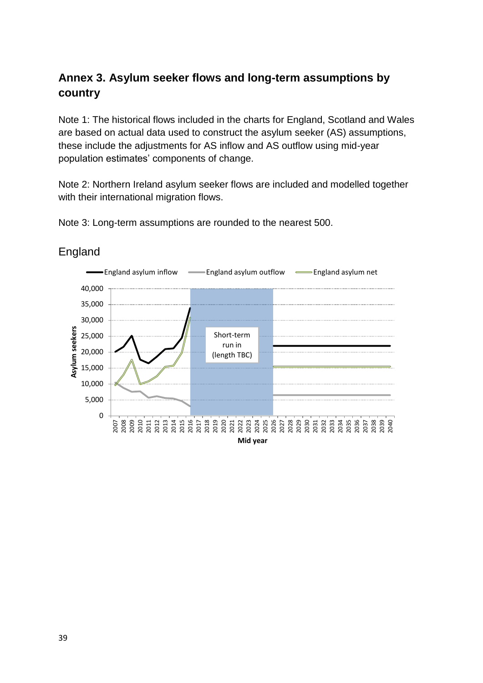# **Annex 3. Asylum seeker flows and long-term assumptions by country**

Note 1: The historical flows included in the charts for England, Scotland and Wales are based on actual data used to construct the asylum seeker (AS) assumptions, these include the adjustments for AS inflow and AS outflow using mid-year population estimates' components of change.

Note 2: Northern Ireland asylum seeker flows are included and modelled together with their international migration flows.

Note 3: Long-term assumptions are rounded to the nearest 500.



## England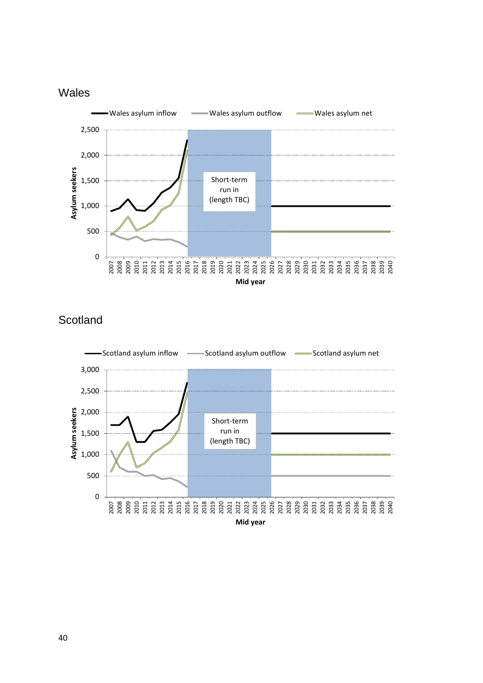



# **Scotland**

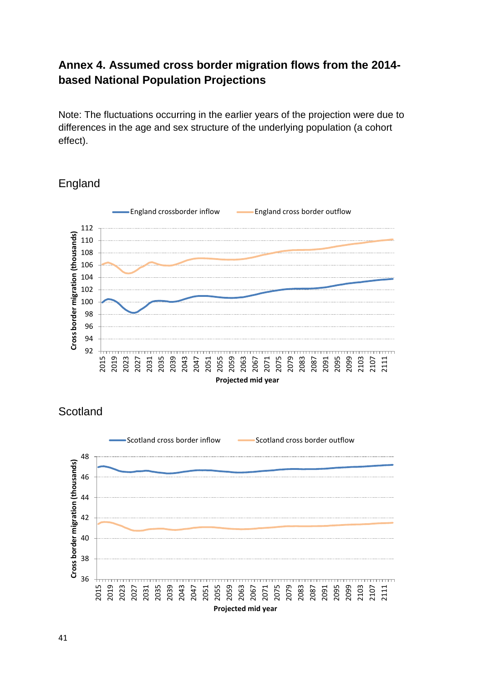# **Annex 4. Assumed cross border migration flows from the 2014 based National Population Projections**

Note: The fluctuations occurring in the earlier years of the projection were due to differences in the age and sex structure of the underlying population (a cohort effect).

## England



**Scotland** 

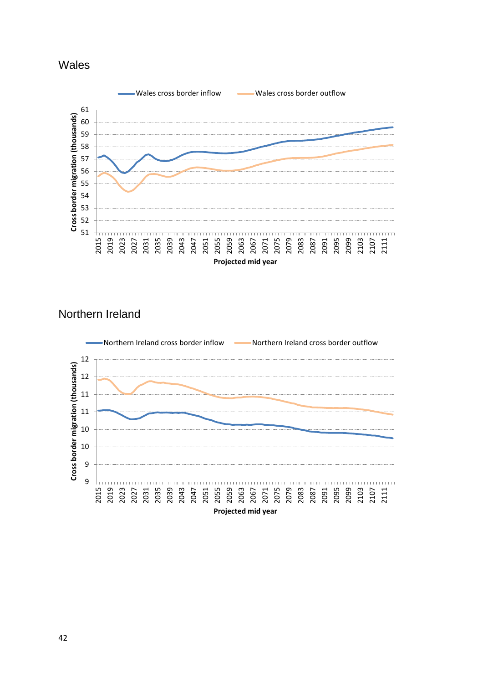



# Northern Ireland

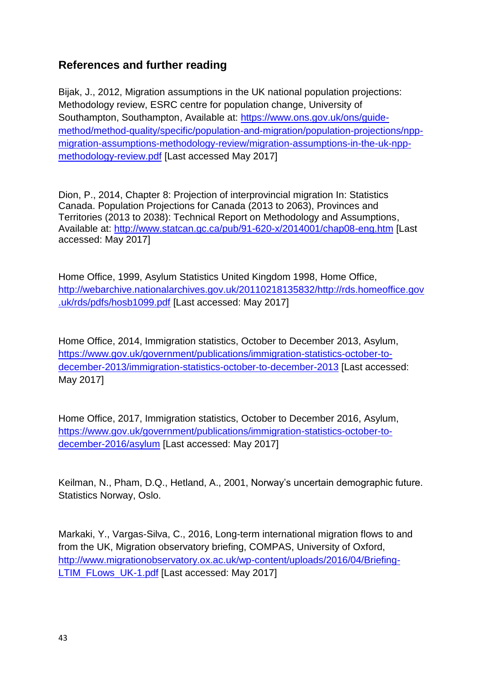## **References and further reading**

Bijak, J., 2012, Migration assumptions in the UK national population projections: Methodology review, ESRC centre for population change, University of Southampton, Southampton, Available at: [https://www.ons.gov.uk/ons/guide](https://www.ons.gov.uk/ons/guide-method/method-quality/specific/population-and-migration/population-projections/npp-migration-assumptions-methodology-review/migration-assumptions-in-the-uk-npp-methodology-review.pdf)[method/method-quality/specific/population-and-migration/population-projections/npp](https://www.ons.gov.uk/ons/guide-method/method-quality/specific/population-and-migration/population-projections/npp-migration-assumptions-methodology-review/migration-assumptions-in-the-uk-npp-methodology-review.pdf)[migration-assumptions-methodology-review/migration-assumptions-in-the-uk-npp](https://www.ons.gov.uk/ons/guide-method/method-quality/specific/population-and-migration/population-projections/npp-migration-assumptions-methodology-review/migration-assumptions-in-the-uk-npp-methodology-review.pdf)[methodology-review.pdf](https://www.ons.gov.uk/ons/guide-method/method-quality/specific/population-and-migration/population-projections/npp-migration-assumptions-methodology-review/migration-assumptions-in-the-uk-npp-methodology-review.pdf) [Last accessed May 2017]

Dion, P., 2014, Chapter 8: Projection of interprovincial migration In: Statistics Canada. Population Projections for Canada (2013 to 2063), Provinces and Territories (2013 to 2038): Technical Report on Methodology and Assumptions, Available at:<http://www.statcan.gc.ca/pub/91-620-x/2014001/chap08-eng.htm> [Last accessed: May 2017]

Home Office, 1999, Asylum Statistics United Kingdom 1998, Home Office, [http://webarchive.nationalarchives.gov.uk/20110218135832/http://rds.homeoffice.gov](http://webarchive.nationalarchives.gov.uk/20110218135832/http:/rds.homeoffice.gov.uk/rds/pdfs/hosb1099.pdf) [.uk/rds/pdfs/hosb1099.pdf](http://webarchive.nationalarchives.gov.uk/20110218135832/http:/rds.homeoffice.gov.uk/rds/pdfs/hosb1099.pdf) [Last accessed: May 2017]

Home Office, 2014, Immigration statistics, October to December 2013, Asylum, [https://www.gov.uk/government/publications/immigration-statistics-october-to](https://www.gov.uk/government/publications/immigration-statistics-october-to-december-2013/immigration-statistics-october-to-december-2013)[december-2013/immigration-statistics-october-to-december-2013](https://www.gov.uk/government/publications/immigration-statistics-october-to-december-2013/immigration-statistics-october-to-december-2013) [Last accessed: May 2017]

Home Office, 2017, Immigration statistics, October to December 2016, Asylum, [https://www.gov.uk/government/publications/immigration-statistics-october-to](https://www.gov.uk/government/publications/immigration-statistics-october-to-december-2016/asylum)[december-2016/asylum](https://www.gov.uk/government/publications/immigration-statistics-october-to-december-2016/asylum) [Last accessed: May 2017]

Keilman, N., Pham, D.Q., Hetland, A., 2001, Norway's uncertain demographic future. Statistics Norway, Oslo.

Markaki, Y., Vargas-Silva, C., 2016, Long-term international migration flows to and from the UK, Migration observatory briefing, COMPAS, University of Oxford, [http://www.migrationobservatory.ox.ac.uk/wp-content/uploads/2016/04/Briefing-](http://www.migrationobservatory.ox.ac.uk/wp-content/uploads/2016/04/Briefing-LTIM_FLows_UK-1.pdf)[LTIM\\_FLows\\_UK-1.pdf](http://www.migrationobservatory.ox.ac.uk/wp-content/uploads/2016/04/Briefing-LTIM_FLows_UK-1.pdf) [Last accessed: May 2017]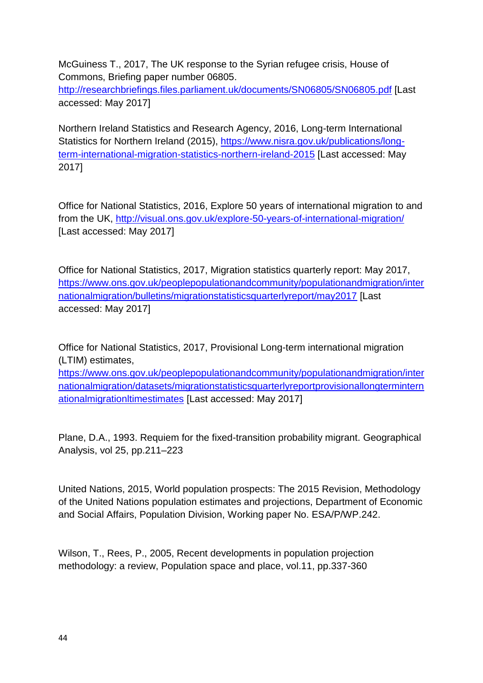McGuiness T., 2017, The UK response to the Syrian refugee crisis, House of Commons, Briefing paper number 06805.

<http://researchbriefings.files.parliament.uk/documents/SN06805/SN06805.pdf> [Last accessed: May 2017]

Northern Ireland Statistics and Research Agency, 2016, Long-term International Statistics for Northern Ireland (2015), [https://www.nisra.gov.uk/publications/long](https://www.nisra.gov.uk/publications/long-term-international-migration-statistics-northern-ireland-2015)[term-international-migration-statistics-northern-ireland-2015](https://www.nisra.gov.uk/publications/long-term-international-migration-statistics-northern-ireland-2015) [Last accessed: May 2017]

Office for National Statistics, 2016, Explore 50 years of international migration to and from the UK,<http://visual.ons.gov.uk/explore-50-years-of-international-migration/> [Last accessed: May 2017]

Office for National Statistics, 2017, Migration statistics quarterly report: May 2017, [https://www.ons.gov.uk/peoplepopulationandcommunity/populationandmigration/inter](https://www.ons.gov.uk/peoplepopulationandcommunity/populationandmigration/internationalmigration/bulletins/migrationstatisticsquarterlyreport/may2017) [nationalmigration/bulletins/migrationstatisticsquarterlyreport/may2017](https://www.ons.gov.uk/peoplepopulationandcommunity/populationandmigration/internationalmigration/bulletins/migrationstatisticsquarterlyreport/may2017) [Last accessed: May 2017]

Office for National Statistics, 2017, Provisional Long-term international migration (LTIM) estimates,

[https://www.ons.gov.uk/peoplepopulationandcommunity/populationandmigration/inter](https://www.ons.gov.uk/peoplepopulationandcommunity/populationandmigration/internationalmigration/datasets/migrationstatisticsquarterlyreportprovisionallongterminternationalmigrationltimestimates) [nationalmigration/datasets/migrationstatisticsquarterlyreportprovisionallongtermintern](https://www.ons.gov.uk/peoplepopulationandcommunity/populationandmigration/internationalmigration/datasets/migrationstatisticsquarterlyreportprovisionallongterminternationalmigrationltimestimates) [ationalmigrationltimestimates](https://www.ons.gov.uk/peoplepopulationandcommunity/populationandmigration/internationalmigration/datasets/migrationstatisticsquarterlyreportprovisionallongterminternationalmigrationltimestimates) [Last accessed: May 2017]

Plane, D.A., 1993. Requiem for the fixed-transition probability migrant. Geographical Analysis, vol 25, pp.211–223

United Nations, 2015, World population prospects: The 2015 Revision, Methodology of the United Nations population estimates and projections, Department of Economic and Social Affairs, Population Division, Working paper No. ESA/P/WP.242.

Wilson, T., Rees, P., 2005, Recent developments in population projection methodology: a review, Population space and place, vol.11, pp.337-360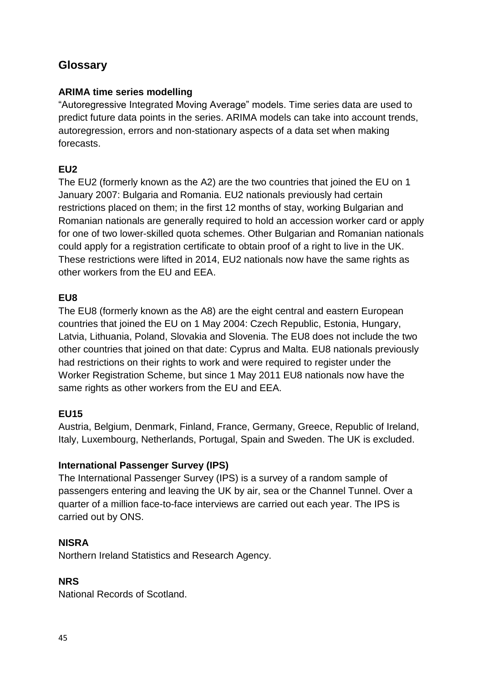# **Glossary**

#### **ARIMA time series modelling**

"Autoregressive Integrated Moving Average" models. Time series data are used to predict future data points in the series. ARIMA models can take into account trends, autoregression, errors and non-stationary aspects of a data set when making forecasts.

### **EU2**

The EU2 (formerly known as the A2) are the two countries that joined the EU on 1 January 2007: Bulgaria and Romania. EU2 nationals previously had certain restrictions placed on them; in the first 12 months of stay, working Bulgarian and Romanian nationals are generally required to hold an accession worker card or apply for one of two lower-skilled quota schemes. Other Bulgarian and Romanian nationals could apply for a registration certificate to obtain proof of a right to live in the UK. These restrictions were lifted in 2014, EU2 nationals now have the same rights as other workers from the EU and EEA.

#### **EU8**

The EU8 (formerly known as the A8) are the eight central and eastern European countries that joined the EU on 1 May 2004: Czech Republic, Estonia, Hungary, Latvia, Lithuania, Poland, Slovakia and Slovenia. The EU8 does not include the two other countries that joined on that date: Cyprus and Malta. EU8 nationals previously had restrictions on their rights to work and were required to register under the Worker Registration Scheme, but since 1 May 2011 EU8 nationals now have the same rights as other workers from the EU and EEA.

### **EU15**

Austria, Belgium, Denmark, Finland, France, Germany, Greece, Republic of Ireland, Italy, Luxembourg, Netherlands, Portugal, Spain and Sweden. The UK is excluded.

#### **International Passenger Survey (IPS)**

The International Passenger Survey (IPS) is a survey of a random sample of passengers entering and leaving the UK by air, sea or the Channel Tunnel. Over a quarter of a million face-to-face interviews are carried out each year. The IPS is carried out by ONS.

#### **NISRA**

Northern Ireland Statistics and Research Agency.

#### **NRS**

National Records of Scotland.